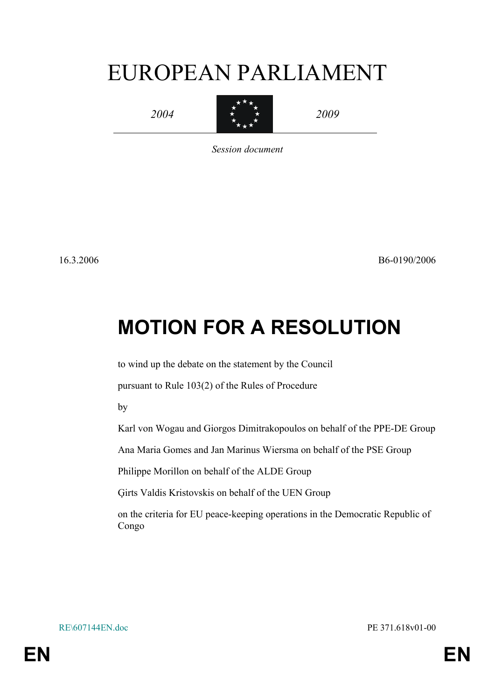# EUROPEAN PARLIAMENT



 $\star$  2009 2009

*Session document*

16.3.2006 B6-0190/2006

## **MOTION FOR A RESOLUTION**

to wind up the debate on the statement by the Council

pursuant to Rule 103(2) of the Rules of Procedure

by

Karl von Wogau and Giorgos Dimitrakopoulos on behalf of the PPE-DE Group

Ana Maria Gomes and Jan Marinus Wiersma on behalf of the PSE Group

Philippe Morillon on behalf of the ALDE Group

Ģirts Valdis Kristovskis on behalf of the UEN Group

on the criteria for EU peace-keeping operations in the Democratic Republic of Congo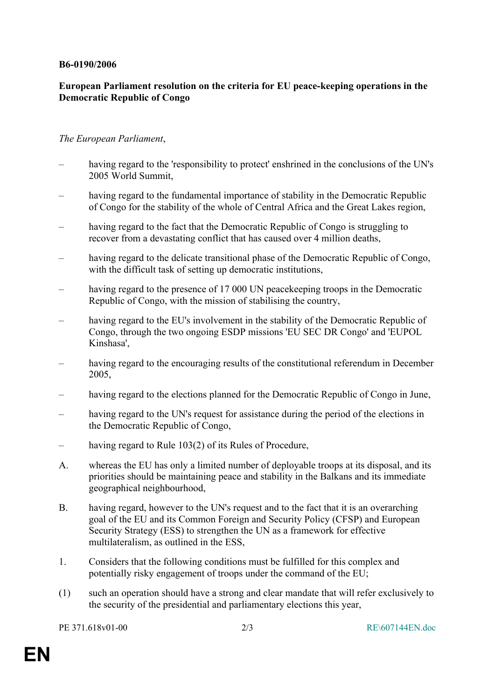#### **B6-0190/2006**

### **European Parliament resolution on the criteria for EU peace-keeping operations in the Democratic Republic of Congo**

#### *The European Parliament*,

- having regard to the 'responsibility to protect' enshrined in the conclusions of the UN's 2005 World Summit,
- having regard to the fundamental importance of stability in the Democratic Republic of Congo for the stability of the whole of Central Africa and the Great Lakes region,
- having regard to the fact that the Democratic Republic of Congo is struggling to recover from a devastating conflict that has caused over 4 million deaths,
- having regard to the delicate transitional phase of the Democratic Republic of Congo, with the difficult task of setting up democratic institutions,
- having regard to the presence of 17 000 UN peace keeping troops in the Democratic Republic of Congo, with the mission of stabilising the country,
- having regard to the EU's involvement in the stability of the Democratic Republic of Congo, through the two ongoing ESDP missions 'EU SEC DR Congo' and 'EUPOL Kinshasa',
- having regard to the encouraging results of the constitutional referendum in December 2005,
- having regard to the elections planned for the Democratic Republic of Congo in June,
- having regard to the UN's request for assistance during the period of the elections in the Democratic Republic of Congo,
- having regard to Rule 103(2) of its Rules of Procedure,
- A. whereas the EU has only a limited number of deployable troops at its disposal, and its priorities should be maintaining peace and stability in the Balkans and its immediate geographical neighbourhood,
- B. having regard, however to the UN's request and to the fact that it is an overarching goal of the EU and its Common Foreign and Security Policy (CFSP) and European Security Strategy (ESS) to strengthen the UN as a framework for effective multilateralism, as outlined in the ESS,
- 1. Considers that the following conditions must be fulfilled for this complex and potentially risky engagement of troops under the command of the EU;
- (1) such an operation should have a strong and clear mandate that will refer exclusively to the security of the presidential and parliamentary elections this year,

PE 371.618v01-00 2/3 RE\607144EN.doc